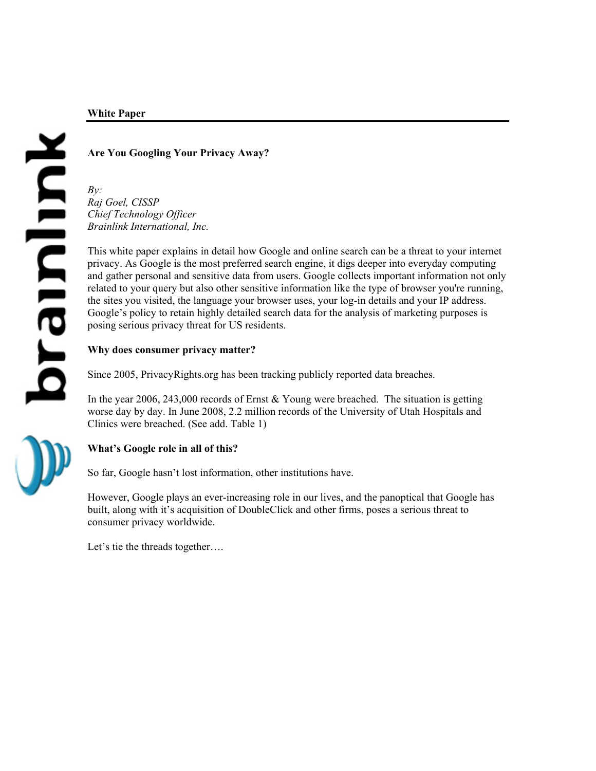# **White Paper**

# kanlard

# **Are You Googling Your Privacy Away?**

*By: Raj Goel, CISSP Chief Technology Officer Brainlink International, Inc.* 

This white paper explains in detail how Google and online search can be a threat to your internet privacy. As Google is the most preferred search engine, it digs deeper into everyday computing and gather personal and sensitive data from users. Google collects important information not only related to your query but also other sensitive information like the type of browser you're running, the sites you visited, the language your browser uses, your log-in details and your IP address. Google's policy to retain highly detailed search data for the analysis of marketing purposes is posing serious privacy threat for US residents.

# **Why does consumer privacy matter?**

Since 2005, PrivacyRights.org has been tracking publicly reported data breaches.

In the year 2006, 243,000 records of Ernst & Young were breached. The situation is getting worse day by day. In June 2008, 2.2 million records of the University of Utah Hospitals and Clinics were breached. (See add. Table 1)

# **What's Google role in all of this?**

So far, Google hasn't lost information, other institutions have.

However, Google plays an ever-increasing role in our lives, and the panoptical that Google has built, along with it's acquisition of DoubleClick and other firms, poses a serious threat to consumer privacy worldwide.

Let's tie the threads together....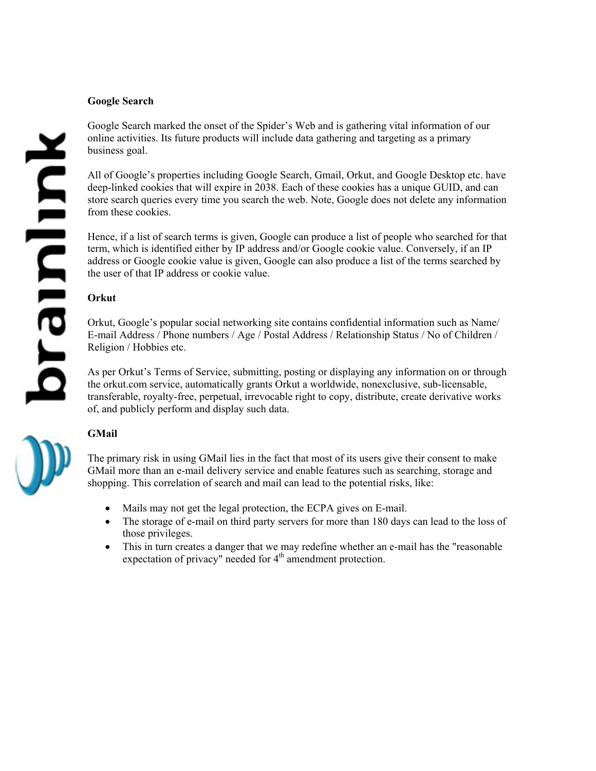### **Google Search**

Google Search marked the onset of the Spider's Web and is gathering vital information of our online activities. Its future products will include data gathering and targeting as a primary business goal.

All of Google's properties including Google Search, Gmail, Orkut, and Google Desktop etc. have deep-linked cookies that will expire in 2038. Each of these cookies has a unique GUID, and can store search queries every time you search the web. Note, Google does not delete any information from these cookies.

Hence, if a list of search terms is given, Google can produce a list of people who searched for that term, which is identified either by IP address and/or Google cookie value. Conversely, if an IP address or Google cookie value is given, Google can also produce a list of the terms searched by the user of that IP address or cookie value.

# **Orkut**

Orkut, Google's popular social networking site contains confidential information such as Name/ E-mail Address / Phone numbers / Age / Postal Address / Relationship Status / No of Children / Religion / Hobbies etc.

As per Orkut's Terms of Service, submitting, posting or displaying any information on or through the orkut.com service, automatically grants Orkut a worldwide, nonexclusive, sub-licensable, transferable, royalty-free, perpetual, irrevocable right to copy, distribute, create derivative works of, and publicly perform and display such data.

# **GMail**

The primary risk in using GMail lies in the fact that most of its users give their consent to make GMail more than an e-mail delivery service and enable features such as searching, storage and shopping. This correlation of search and mail can lead to the potential risks, like:

- Mails may not get the legal protection, the ECPA gives on E-mail.
- The storage of e-mail on third party servers for more than 180 days can lead to the loss of those privileges.
- This in turn creates a danger that we may redefine whether an e-mail has the "reasonable" expectation of privacy" needed for  $4<sup>th</sup>$  amendment protection.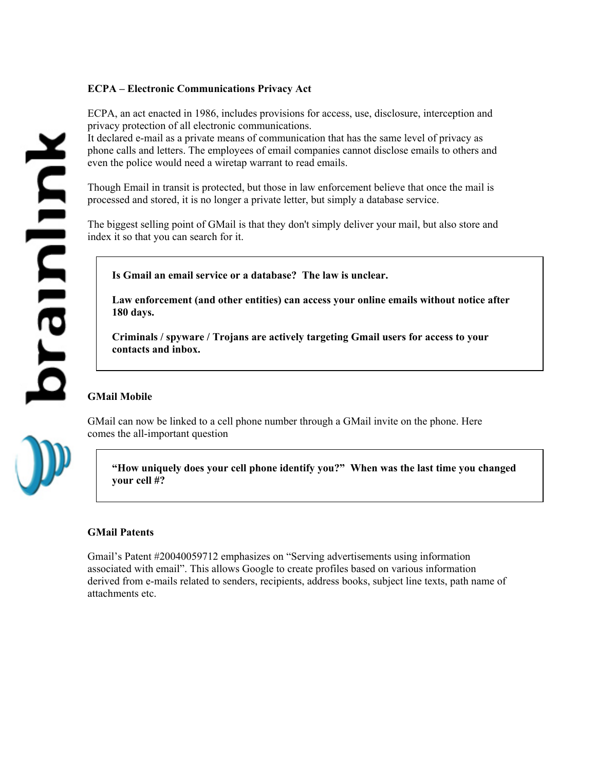# **ECPA – Electronic Communications Privacy Act**

ECPA, an act enacted in 1986, includes provisions for access, use, disclosure, interception and privacy protection of all electronic communications.

It declared e-mail as a private means of communication that has the same level of privacy as phone calls and letters. The employees of email companies cannot disclose emails to others and even the police would need a wiretap warrant to read emails.

Though Email in transit is protected, but those in law enforcement believe that once the mail is processed and stored, it is no longer a private letter, but simply a database service.

The biggest selling point of GMail is that they don't simply deliver your mail, but also store and index it so that you can search for it.

**Is Gmail an email service or a database? The law is unclear.** 

**Law enforcement (and other entities) can access your online emails without notice after 180 days.** 

**Criminals / spyware / Trojans are actively targeting Gmail users for access to your contacts and inbox.** 

# **GMail Mobile**

GMail can now be linked to a cell phone number through a GMail invite on the phone. Here comes the all-important question

**"How uniquely does your cell phone identify you?" When was the last time you changed your cell #?** 

# **GMail Patents**

Gmail's Patent #20040059712 emphasizes on "Serving advertisements using information associated with email". This allows Google to create profiles based on various information derived from e-mails related to senders, recipients, address books, subject line texts, path name of attachments etc.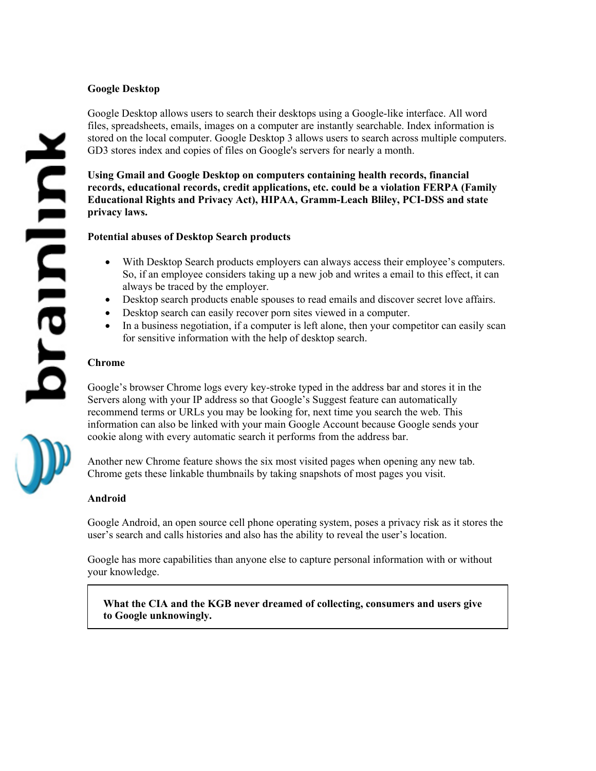# **Google Desktop**

Google Desktop allows users to search their desktops using a Google-like interface. All word files, spreadsheets, emails, images on a computer are instantly searchable. Index information is stored on the local computer. Google Desktop 3 allows users to search across multiple computers. GD3 stores index and copies of files on Google's servers for nearly a month.

**Using Gmail and Google Desktop on computers containing health records, financial records, educational records, credit applications, etc. could be a violation FERPA (Family Educational Rights and Privacy Act), HIPAA, Gramm-Leach Bliley, PCI-DSS and state privacy laws.** 

### **Potential abuses of Desktop Search products**

- With Desktop Search products employers can always access their employee's computers. So, if an employee considers taking up a new job and writes a email to this effect, it can always be traced by the employer.
- Desktop search products enable spouses to read emails and discover secret love affairs.
- Desktop search can easily recover porn sites viewed in a computer.
- In a business negotiation, if a computer is left alone, then your competitor can easily scan for sensitive information with the help of desktop search.

### **Chrome**

Google's browser Chrome logs every key-stroke typed in the address bar and stores it in the Servers along with your IP address so that Google's Suggest feature can automatically recommend terms or URLs you may be looking for, next time you search the web. This information can also be linked with your main Google Account because Google sends your cookie along with every automatic search it performs from the address bar.

Another new Chrome feature shows the six most visited pages when opening any new tab. Chrome gets these linkable thumbnails by taking snapshots of most pages you visit.

### **Android**

Google Android, an open source cell phone operating system, poses a privacy risk as it stores the user's search and calls histories and also has the ability to reveal the user's location.

Google has more capabilities than anyone else to capture personal information with or without your knowledge.

**What the CIA and the KGB never dreamed of collecting, consumers and users give to Google unknowingly.**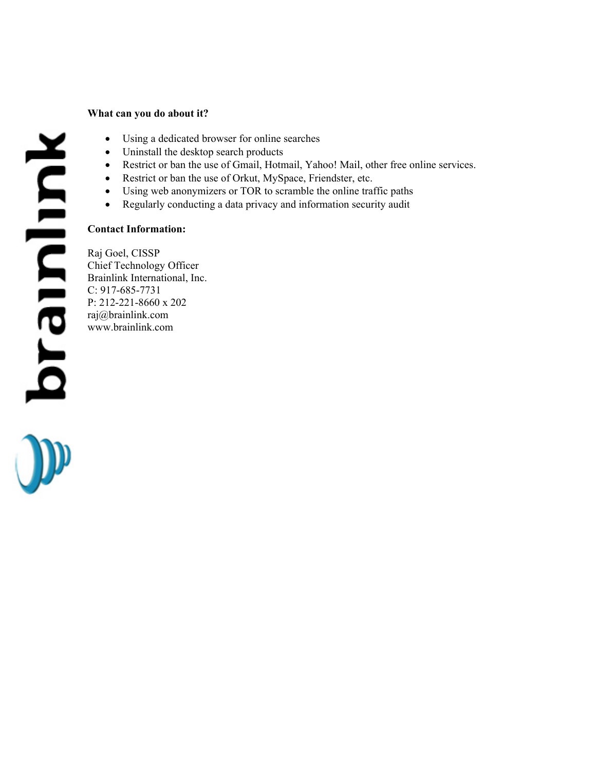### **What can you do about it?**

- Using a dedicated browser for online searches
- Uninstall the desktop search products
- Restrict or ban the use of Gmail, Hotmail, Yahoo! Mail, other free online services.
- Restrict or ban the use of Orkut, MySpace, Friendster, etc.
- Using web anonymizers or TOR to scramble the online traffic paths
- Regularly conducting a data privacy and information security audit

### **Contact Information:**

Raj Goel, CISSP Chief Technology Officer Brainlink International, Inc. C: 917-685-7731 P: 212-221-8660 x 202 raj@brainlink.com www.brainlink.com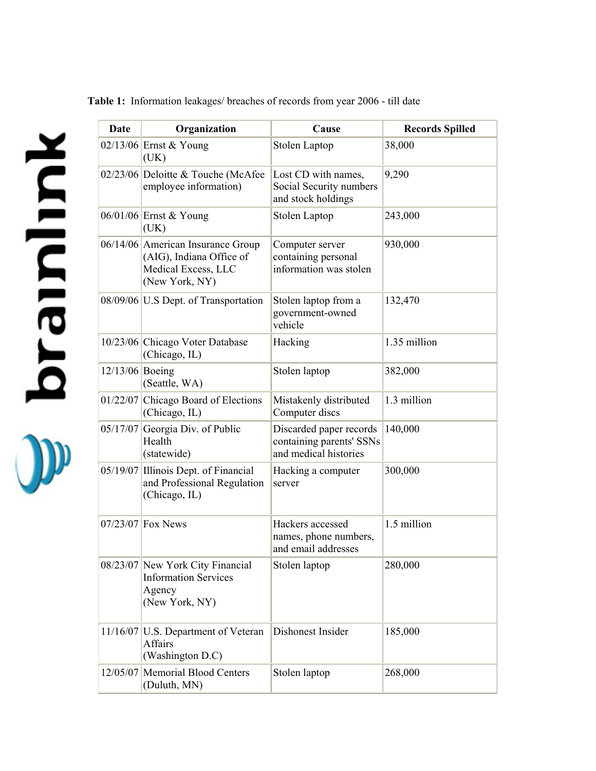**Table 1:** Information leakages/ breaches of records from year 2006 - till date

**Xullurie Jo &** 

| <b>Date</b>     | Organization                                                                                           | Cause                                                                        | <b>Records Spilled</b> |
|-----------------|--------------------------------------------------------------------------------------------------------|------------------------------------------------------------------------------|------------------------|
|                 | $02/13/06$ Ernst & Young<br>(UK)                                                                       | Stolen Laptop                                                                | 38,000                 |
|                 | 02/23/06 Deloitte & Touche (McAfee)<br>employee information)                                           | Lost CD with names,<br>Social Security numbers<br>and stock holdings         | 9,290                  |
|                 | 06/01/06 Ernst & Young<br>(UK)                                                                         | Stolen Laptop                                                                | 243,000                |
|                 | 06/14/06 American Insurance Group<br>(AIG), Indiana Office of<br>Medical Excess, LLC<br>(New York, NY) | Computer server<br>containing personal<br>information was stolen             | 930,000                |
|                 | 08/09/06 U.S Dept. of Transportation                                                                   | Stolen laptop from a<br>government-owned<br>vehicle                          | 132,470                |
|                 | 10/23/06 Chicago Voter Database<br>(Chicago, IL)                                                       | Hacking                                                                      | 1.35 million           |
| 12/13/06 Boeing | (Seattle, WA)                                                                                          | Stolen laptop                                                                | 382,000                |
|                 | 01/22/07 Chicago Board of Elections<br>(Chicago, IL)                                                   | Mistakenly distributed<br>Computer discs                                     | 1.3 million            |
|                 | $05/17/07$ Georgia Div. of Public<br>Health<br>(statewide)                                             | Discarded paper records<br>containing parents' SSNs<br>and medical histories | 140,000                |
|                 | 05/19/07 Illinois Dept. of Financial<br>and Professional Regulation<br>(Chicago, IL)                   | Hacking a computer<br>server                                                 | 300,000                |
|                 | $07/23/07$ Fox News                                                                                    | Hackers accessed<br>names, phone numbers,<br>and email addresses             | 1.5 million            |
|                 | 08/23/07 New York City Financial<br><b>Information Services</b><br>Agency<br>(New York, NY)            | Stolen laptop                                                                | 280,000                |
|                 | 11/16/07   U.S. Department of Veteran<br><b>Affairs</b><br>(Washington D.C)                            | Dishonest Insider                                                            | 185,000                |
|                 | 12/05/07 Memorial Blood Centers<br>(Duluth, MN)                                                        | Stolen laptop                                                                | 268,000                |